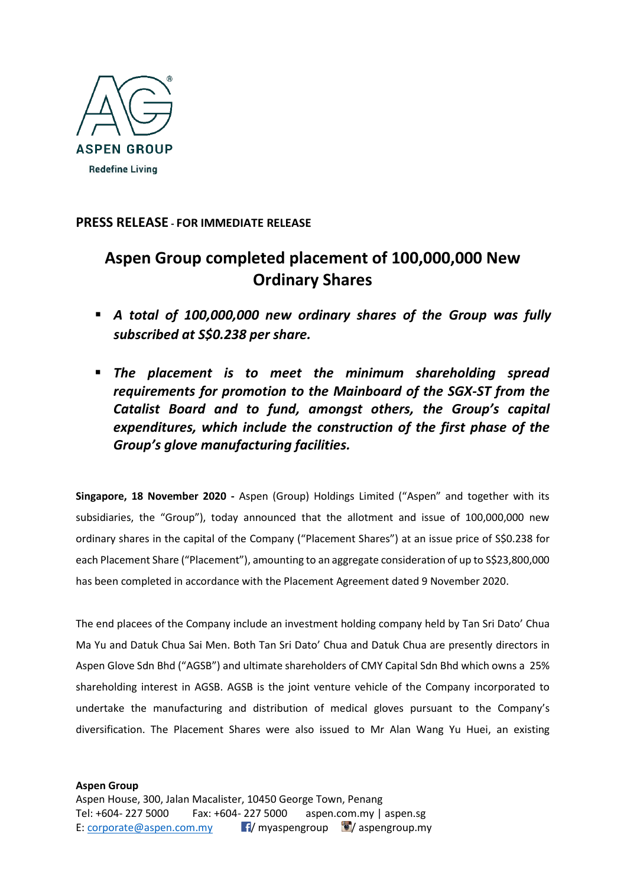

## **PRESS RELEASE - FOR IMMEDIATE RELEASE**

# **Aspen Group completed placement of 100,000,000 New Ordinary Shares**

- *A total of 100,000,000 new ordinary shares of the Group was fully subscribed at S\$0.238 per share.*
- *The placement is to meet the minimum shareholding spread requirements for promotion to the Mainboard of the SGX-ST from the Catalist Board and to fund, amongst others, the Group's capital expenditures, which include the construction of the first phase of the Group's glove manufacturing facilities.*

**Singapore, 18 November 2020 -** Aspen (Group) Holdings Limited ("Aspen" and together with its subsidiaries, the "Group"), today announced that the allotment and issue of 100,000,000 new ordinary shares in the capital of the Company ("Placement Shares") at an issue price of S\$0.238 for each Placement Share ("Placement"), amounting to an aggregate consideration of up to S\$23,800,000 has been completed in accordance with the Placement Agreement dated 9 November 2020.

The end placees of the Company include an investment holding company held by Tan Sri Dato' Chua Ma Yu and Datuk Chua Sai Men. Both Tan Sri Dato' Chua and Datuk Chua are presently directors in Aspen Glove Sdn Bhd ("AGSB") and ultimate shareholders of CMY Capital Sdn Bhd which owns a 25% shareholding interest in AGSB. AGSB is the joint venture vehicle of the Company incorporated to undertake the manufacturing and distribution of medical gloves pursuant to the Company's diversification. The Placement Shares were also issued to Mr Alan Wang Yu Huei, an existing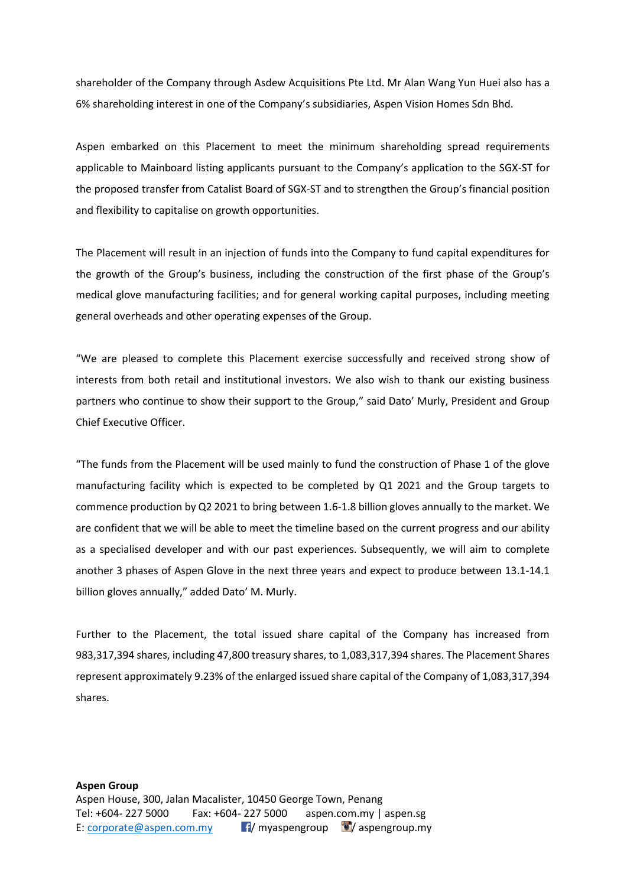shareholder of the Company through Asdew Acquisitions Pte Ltd. Mr Alan Wang Yun Huei also has a 6% shareholding interest in one of the Company's subsidiaries, Aspen Vision Homes Sdn Bhd.

Aspen embarked on this Placement to meet the minimum shareholding spread requirements applicable to Mainboard listing applicants pursuant to the Company's application to the SGX-ST for the proposed transfer from Catalist Board of SGX-ST and to strengthen the Group's financial position and flexibility to capitalise on growth opportunities.

The Placement will result in an injection of funds into the Company to fund capital expenditures for the growth of the Group's business, including the construction of the first phase of the Group's medical glove manufacturing facilities; and for general working capital purposes, including meeting general overheads and other operating expenses of the Group.

"We are pleased to complete this Placement exercise successfully and received strong show of interests from both retail and institutional investors. We also wish to thank our existing business partners who continue to show their support to the Group," said Dato' Murly, President and Group Chief Executive Officer.

"The funds from the Placement will be used mainly to fund the construction of Phase 1 of the glove manufacturing facility which is expected to be completed by Q1 2021 and the Group targets to commence production by Q2 2021 to bring between 1.6-1.8 billion gloves annually to the market. We are confident that we will be able to meet the timeline based on the current progress and our ability as a specialised developer and with our past experiences. Subsequently, we will aim to complete another 3 phases of Aspen Glove in the next three years and expect to produce between 13.1-14.1 billion gloves annually," added Dato' M. Murly.

Further to the Placement, the total issued share capital of the Company has increased from 983,317,394 shares, including 47,800 treasury shares, to 1,083,317,394 shares. The Placement Shares represent approximately 9.23% of the enlarged issued share capital of the Company of 1,083,317,394 shares.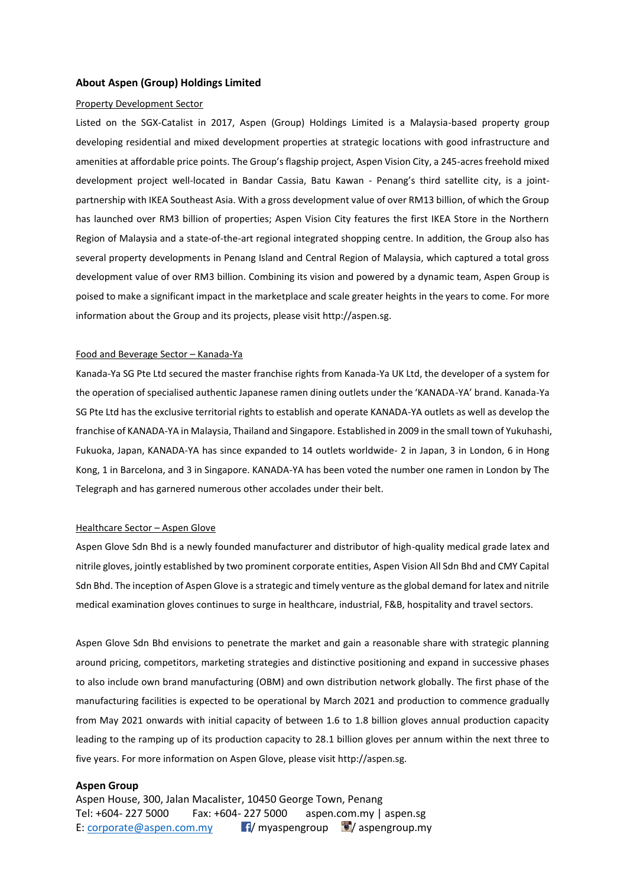### **About Aspen (Group) Holdings Limited**

#### Property Development Sector

Listed on the SGX-Catalist in 2017, Aspen (Group) Holdings Limited is a Malaysia-based property group developing residential and mixed development properties at strategic locations with good infrastructure and amenities at affordable price points. The Group's flagship project, Aspen Vision City, a 245-acres freehold mixed development project well-located in Bandar Cassia, Batu Kawan - Penang's third satellite city, is a jointpartnership with IKEA Southeast Asia. With a gross development value of over RM13 billion, of which the Group has launched over RM3 billion of properties; Aspen Vision City features the first IKEA Store in the Northern Region of Malaysia and a state-of-the-art regional integrated shopping centre. In addition, the Group also has several property developments in Penang Island and Central Region of Malaysia, which captured a total gross development value of over RM3 billion. Combining its vision and powered by a dynamic team, Aspen Group is poised to make a significant impact in the marketplace and scale greater heights in the years to come. For more information about the Group and its projects, please visit http://aspen.sg.

#### Food and Beverage Sector – Kanada-Ya

Kanada-Ya SG Pte Ltd secured the master franchise rights from Kanada-Ya UK Ltd, the developer of a system for the operation of specialised authentic Japanese ramen dining outlets under the 'KANADA-YA' brand. Kanada-Ya SG Pte Ltd has the exclusive territorial rights to establish and operate KANADA-YA outlets as well as develop the franchise of KANADA-YA in Malaysia, Thailand and Singapore. Established in 2009 in the small town of Yukuhashi, Fukuoka, Japan, KANADA-YA has since expanded to 14 outlets worldwide- 2 in Japan, 3 in London, 6 in Hong Kong, 1 in Barcelona, and 3 in Singapore. KANADA-YA has been voted the number one ramen in London by The Telegraph and has garnered numerous other accolades under their belt.

#### Healthcare Sector – Aspen Glove

Aspen Glove Sdn Bhd is a newly founded manufacturer and distributor of high-quality medical grade latex and nitrile gloves, jointly established by two prominent corporate entities, Aspen Vision All Sdn Bhd and CMY Capital Sdn Bhd. The inception of Aspen Glove is a strategic and timely venture as the global demand for latex and nitrile medical examination gloves continues to surge in healthcare, industrial, F&B, hospitality and travel sectors.

Aspen Glove Sdn Bhd envisions to penetrate the market and gain a reasonable share with strategic planning around pricing, competitors, marketing strategies and distinctive positioning and expand in successive phases to also include own brand manufacturing (OBM) and own distribution network globally. The first phase of the manufacturing facilities is expected to be operational by March 2021 and production to commence gradually from May 2021 onwards with initial capacity of between 1.6 to 1.8 billion gloves annual production capacity leading to the ramping up of its production capacity to 28.1 billion gloves per annum within the next three to five years. For more information on Aspen Glove, please visit http://aspen.sg.

### **Aspen Group**

Aspen House, 300, Jalan Macalister, 10450 George Town, Penang Tel: +604- 227 5000 Fax: +604- 227 5000 aspen.com.my | aspen.sg E: [corporate@aspen.com.my](mailto:corporate@aspen.com.my) **F**/ myaspengroup  $\blacksquare$  / aspengroup.my